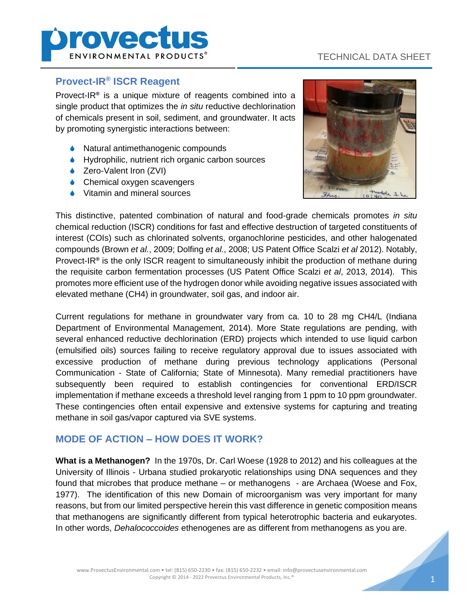

# TECHNICAL DATA SHEET

#### **Provect-IR® ISCR Reagent**

Provect-IR**®** is a unique mixture of reagents combined into a single product that optimizes the *in situ* reductive dechlorination of chemicals present in soil, sediment, and groundwater. It acts by promoting synergistic interactions between:

- **◆** Natural antimethanogenic compounds
- ♦ Hydrophilic, nutrient rich organic carbon sources
- ◆ Zero-Valent Iron (ZVI)
- **◆** Chemical oxygen scavengers
- **◆** Vitamin and mineral sources



This distinctive, patented combination of natural and food-grade chemicals promotes *in situ* chemical reduction (ISCR) conditions for fast and effective destruction of targeted constituents of interest (COIs) such as chlorinated solvents, organochlorine pesticides, and other halogenated compounds (Brown *et al.*, 2009; Dolfing *et al.*, 2008; US Patent Office Scalzi *et al* 2012). Notably, Provect-IR**®** is the only ISCR reagent to simultaneously inhibit the production of methane during the requisite carbon fermentation processes (US Patent Office Scalzi *et al*, 2013, 2014). This promotes more efficient use of the hydrogen donor while avoiding negative issues associated with elevated methane (CH4) in groundwater, soil gas, and indoor air.

Current regulations for methane in groundwater vary from ca. 10 to 28 mg CH4/L (Indiana Department of Environmental Management, 2014). More State regulations are pending, with several enhanced reductive dechlorination (ERD) projects which intended to use liquid carbon (emulsified oils) sources failing to receive regulatory approval due to issues associated with excessive production of methane during previous technology applications (Personal Communication - State of California; State of Minnesota). Many remedial practitioners have subsequently been required to establish contingencies for conventional ERD/ISCR implementation if methane exceeds a threshold level ranging from 1 ppm to 10 ppm groundwater. These contingencies often entail expensive and extensive systems for capturing and treating methane in soil gas/vapor captured via SVE systems.

### **MODE OF ACTION – HOW DOES IT WORK?**

**What is a Methanogen?** In the 1970s, Dr. Carl Woese (1928 to 2012) and his colleagues at the University of Illinois - Urbana studied prokaryotic relationships using DNA sequences and they found that microbes that produce methane – or methanogens - are Archaea (Woese and Fox, 1977). The identification of this new Domain of microorganism was very important for many reasons, but from our limited perspective herein this vast difference in genetic composition means that methanogens are significantly different from typical heterotrophic bacteria and eukaryotes. In other words, *Dehalococcoides* ethenogenes are as different from methanogens as you are.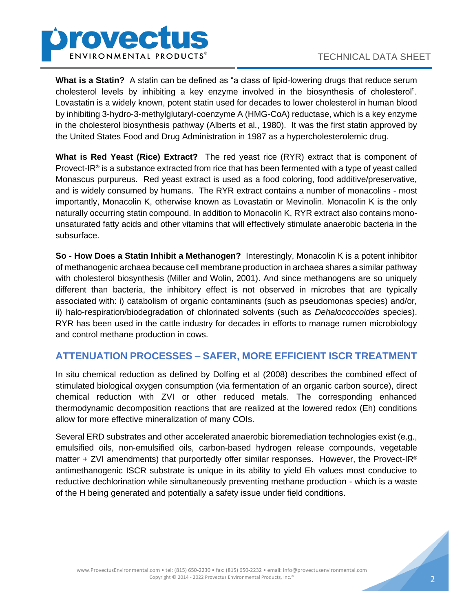

**What is a Statin?** A statin can be defined as "a class of lipid-lowering drugs that reduce serum cholesterol levels by inhibiting a key enzyme involved in the biosynthesis of cholesterol". Lovastatin is a widely known, potent statin used for decades to lower cholesterol in human blood by inhibiting 3-hydro-3-methylglutaryl-coenzyme A (HMG-CoA) reductase, which is a key enzyme in the cholesterol biosynthesis pathway (Alberts et al., 1980). It was the first statin approved by the United States Food and Drug Administration in 1987 as a hypercholesterolemic drug.

**What is Red Yeast (Rice) Extract?** The red yeast rice (RYR) extract that is component of Provect-IR**®** is a substance extracted from rice that has been fermented with a type of yeast called Monascus purpureus. Red yeast extract is used as a food coloring, food additive/preservative, and is widely consumed by humans. The RYR extract contains a number of monacolins - most importantly, Monacolin K, otherwise known as Lovastatin or Mevinolin. Monacolin K is the only naturally occurring statin compound. In addition to Monacolin K, RYR extract also contains monounsaturated fatty acids and other vitamins that will effectively stimulate anaerobic bacteria in the subsurface.

**So - How Does a Statin Inhibit a Methanogen?** Interestingly, Monacolin K is a potent inhibitor of methanogenic archaea because cell membrane production in archaea shares a similar pathway with cholesterol biosynthesis (Miller and Wolin, 2001). And since methanogens are so uniquely different than bacteria, the inhibitory effect is not observed in microbes that are typically associated with: i) catabolism of organic contaminants (such as pseudomonas species) and/or, ii) halo-respiration/biodegradation of chlorinated solvents (such as *Dehalococcoides* species). RYR has been used in the cattle industry for decades in efforts to manage rumen microbiology and control methane production in cows.

## **ATTENUATION PROCESSES – SAFER, MORE EFFICIENT ISCR TREATMENT**

In situ chemical reduction as defined by Dolfing et al (2008) describes the combined effect of stimulated biological oxygen consumption (via fermentation of an organic carbon source), direct chemical reduction with ZVI or other reduced metals. The corresponding enhanced thermodynamic decomposition reactions that are realized at the lowered redox (Eh) conditions allow for more effective mineralization of many COIs.

Several ERD substrates and other accelerated anaerobic bioremediation technologies exist (e.g., emulsified oils, non-emulsified oils, carbon-based hydrogen release compounds, vegetable matter + ZVI amendments) that purportedly offer similar responses. However, the Provect-IR**®** antimethanogenic ISCR substrate is unique in its ability to yield Eh values most conducive to reductive dechlorination while simultaneously preventing methane production - which is a waste of the H being generated and potentially a safety issue under field conditions.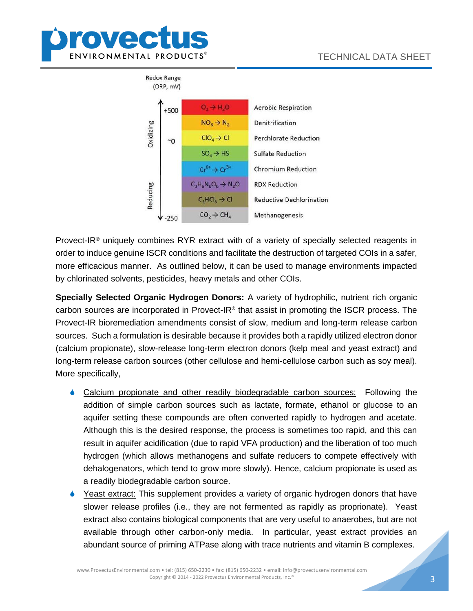



Provect-IR**®** uniquely combines RYR extract with of a variety of specially selected reagents in order to induce genuine ISCR conditions and facilitate the destruction of targeted COIs in a safer, more efficacious manner. As outlined below, it can be used to manage environments impacted by chlorinated solvents, pesticides, heavy metals and other COIs.

**Specially Selected Organic Hydrogen Donors:** A variety of hydrophilic, nutrient rich organic carbon sources are incorporated in Provect-IR**®** that assist in promoting the ISCR process. The Provect-IR bioremediation amendments consist of slow, medium and long-term release carbon sources. Such a formulation is desirable because it provides both a rapidly utilized electron donor (calcium propionate), slow-release long-term electron donors (kelp meal and yeast extract) and long-term release carbon sources (other cellulose and hemi-cellulose carbon such as soy meal). More specifically,

- Calcium propionate and other readily biodegradable carbon sources: Following the addition of simple carbon sources such as lactate, formate, ethanol or glucose to an aquifer setting these compounds are often converted rapidly to hydrogen and acetate. Although this is the desired response, the process is sometimes too rapid, and this can result in aquifer acidification (due to rapid VFA production) and the liberation of too much hydrogen (which allows methanogens and sulfate reducers to compete effectively with dehalogenators, which tend to grow more slowly). Hence, calcium propionate is used as a readily biodegradable carbon source.
- Yeast extract: This supplement provides a variety of organic hydrogen donors that have slower release profiles (i.e., they are not fermented as rapidly as proprionate). Yeast extract also contains biological components that are very useful to anaerobes, but are not available through other carbon-only media. In particular, yeast extract provides an abundant source of priming ATPase along with trace nutrients and vitamin B complexes.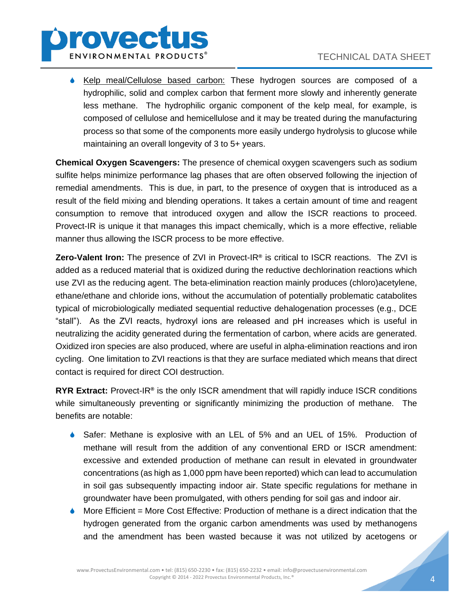

**Kelp meal/Cellulose based carbon:** These hydrogen sources are composed of a hydrophilic, solid and complex carbon that ferment more slowly and inherently generate less methane. The hydrophilic organic component of the kelp meal, for example, is composed of cellulose and hemicellulose and it may be treated during the manufacturing process so that some of the components more easily undergo hydrolysis to glucose while maintaining an overall longevity of 3 to 5+ years.

**Chemical Oxygen Scavengers:** The presence of chemical oxygen scavengers such as sodium sulfite helps minimize performance lag phases that are often observed following the injection of remedial amendments. This is due, in part, to the presence of oxygen that is introduced as a result of the field mixing and blending operations. It takes a certain amount of time and reagent consumption to remove that introduced oxygen and allow the ISCR reactions to proceed. Provect-IR is unique it that manages this impact chemically, which is a more effective, reliable manner thus allowing the ISCR process to be more effective.

**Zero-Valent Iron:** The presence of ZVI in Provect-IR**®** is critical to ISCR reactions. The ZVI is added as a reduced material that is oxidized during the reductive dechlorination reactions which use ZVI as the reducing agent. The beta-elimination reaction mainly produces (chloro)acetylene, ethane/ethane and chloride ions, without the accumulation of potentially problematic catabolites typical of microbiologically mediated sequential reductive dehalogenation processes (e.g., DCE "stall"). As the ZVI reacts, hydroxyl ions are released and pH increases which is useful in neutralizing the acidity generated during the fermentation of carbon, where acids are generated. Oxidized iron species are also produced, where are useful in alpha-elimination reactions and iron cycling. One limitation to ZVI reactions is that they are surface mediated which means that direct contact is required for direct COI destruction.

**RYR Extract:** Provect-IR**®** is the only ISCR amendment that will rapidly induce ISCR conditions while simultaneously preventing or significantly minimizing the production of methane. The benefits are notable:

- Safer: Methane is explosive with an LEL of 5% and an UEL of 15%. Production of methane will result from the addition of any conventional ERD or ISCR amendment: excessive and extended production of methane can result in elevated in groundwater concentrations (as high as 1,000 ppm have been reported) which can lead to accumulation in soil gas subsequently impacting indoor air. State specific regulations for methane in groundwater have been promulgated, with others pending for soil gas and indoor air.
- More Efficient = More Cost Effective: Production of methane is a direct indication that the hydrogen generated from the organic carbon amendments was used by methanogens and the amendment has been wasted because it was not utilized by acetogens or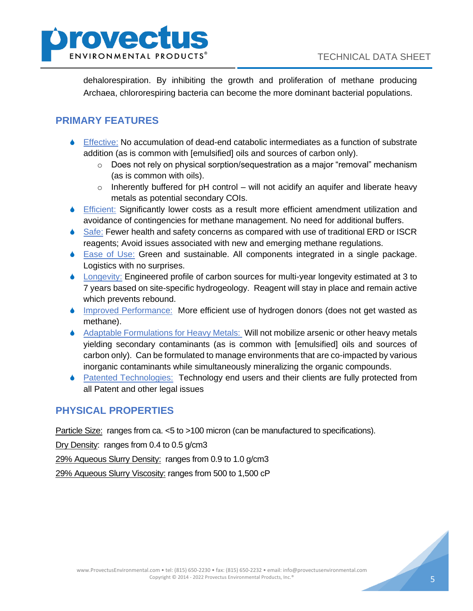

dehalorespiration. By inhibiting the growth and proliferation of methane producing Archaea, chlororespiring bacteria can become the more dominant bacterial populations.

## **PRIMARY FEATURES**

- Effective: No accumulation of dead-end catabolic intermediates as a function of substrate addition (as is common with [emulsified] oils and sources of carbon only).
	- o Does not rely on physical sorption/sequestration as a major "removal" mechanism (as is common with oils).
	- $\circ$  Inherently buffered for pH control will not acidify an aquifer and liberate heavy metals as potential secondary COIs.
- Efficient: Significantly lower costs as a result more efficient amendment utilization and avoidance of contingencies for methane management. No need for additional buffers.
- ♦ Safe: Fewer health and safety concerns as compared with use of traditional ERD or ISCR reagents; Avoid issues associated with new and emerging methane regulations.
- Ease of Use: Green and sustainable. All components integrated in a single package. Logistics with no surprises.
- ♦ Longevity: Engineered profile of carbon sources for multi-year longevity estimated at 3 to 7 years based on site-specific hydrogeology. Reagent will stay in place and remain active which prevents rebound.
- ♦ Improved Performance: More efficient use of hydrogen donors (does not get wasted as methane).
- Adaptable Formulations for Heavy Metals: Will not mobilize arsenic or other heavy metals yielding secondary contaminants (as is common with [emulsified] oils and sources of carbon only). Can be formulated to manage environments that are co-impacted by various inorganic contaminants while simultaneously mineralizing the organic compounds.
- **A** Patented Technologies: Technology end users and their clients are fully protected from all Patent and other legal issues

# **PHYSICAL PROPERTIES**

Particle Size: ranges from ca. <5 to >100 micron (can be manufactured to specifications).

Dry Density: ranges from 0.4 to 0.5 g/cm3

29% Aqueous Slurry Density: ranges from 0.9 to 1.0 g/cm3

29% Aqueous Slurry Viscosity: ranges from 500 to 1,500 cP